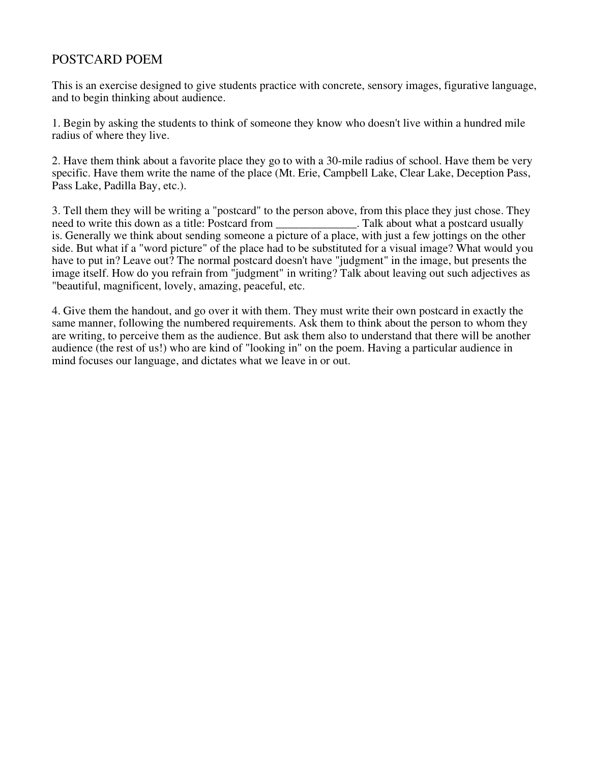## POSTCARD POEM

This is an exercise designed to give students practice with concrete, sensory images, figurative language, and to begin thinking about audience.

1. Begin by asking the students to think of someone they know who doesn't live within a hundred mile radius of where they live.

2. Have them think about a favorite place they go to with a 30-mile radius of school. Have them be very specific. Have them write the name of the place (Mt. Erie, Campbell Lake, Clear Lake, Deception Pass, Pass Lake, Padilla Bay, etc.).

3. Tell them they will be writing a "postcard" to the person above, from this place they just chose. They need to write this down as a title: Postcard from Talk about what a postcard usually is. Generally we think about sending someone a picture of a place, with just a few jottings on the other side. But what if a "word picture" of the place had to be substituted for a visual image? What would you have to put in? Leave out? The normal postcard doesn't have "judgment" in the image, but presents the image itself. How do you refrain from "judgment" in writing? Talk about leaving out such adjectives as "beautiful, magnificent, lovely, amazing, peaceful, etc.

4. Give them the handout, and go over it with them. They must write their own postcard in exactly the same manner, following the numbered requirements. Ask them to think about the person to whom they are writing, to perceive them as the audience. But ask them also to understand that there will be another audience (the rest of us!) who are kind of "looking in" on the poem. Having a particular audience in mind focuses our language, and dictates what we leave in or out.